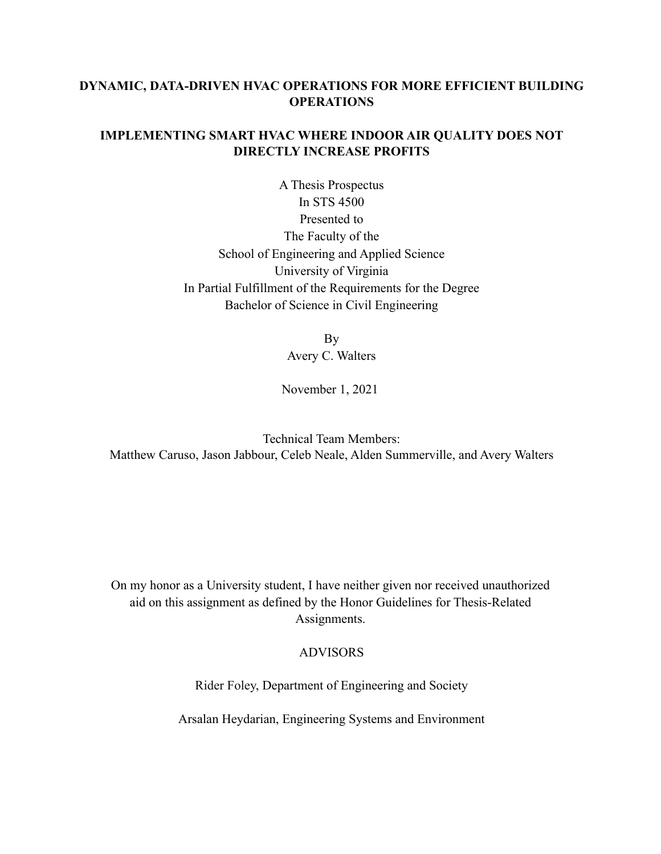# **DYNAMIC, DATA-DRIVEN HVAC OPERATIONS FOR MORE EFFICIENT BUILDING OPERATIONS**

## **IMPLEMENTING SMART HVAC WHERE INDOOR AIR QUALITY DOES NOT DIRECTLY INCREASE PROFITS**

A Thesis Prospectus In STS 4500 Presented to The Faculty of the School of Engineering and Applied Science University of Virginia In Partial Fulfillment of the Requirements for the Degree Bachelor of Science in Civil Engineering

> By Avery C. Walters

November 1, 2021

Technical Team Members: Matthew Caruso, Jason Jabbour, Celeb Neale, Alden Summerville, and Avery Walters

On my honor as a University student, I have neither given nor received unauthorized aid on this assignment as defined by the Honor Guidelines for Thesis-Related Assignments.

## ADVISORS

Rider Foley, Department of Engineering and Society

Arsalan Heydarian, Engineering Systems and Environment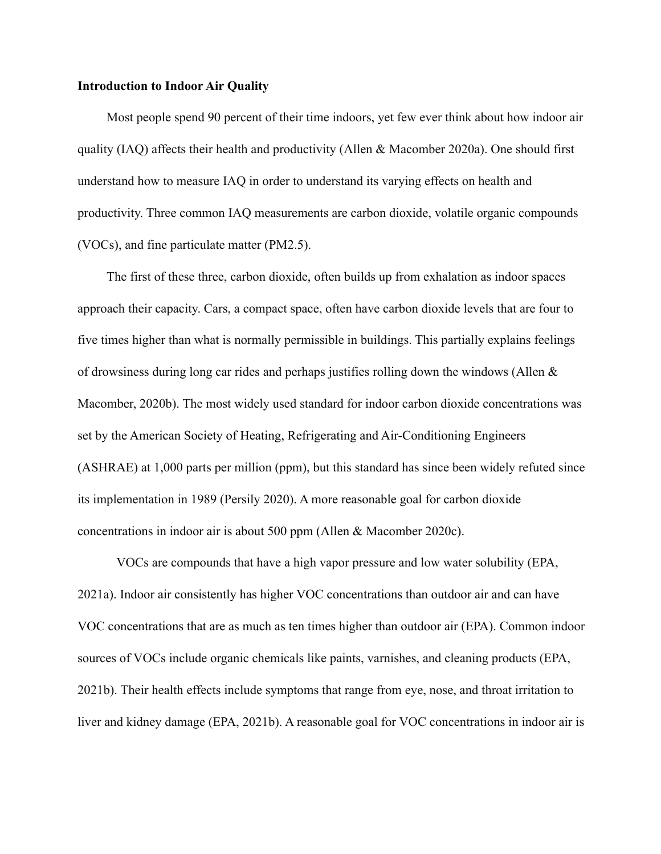## **Introduction to Indoor Air Quality**

Most people spend 90 percent of their time indoors, yet few ever think about how indoor air quality (IAQ) affects their health and productivity (Allen & Macomber 2020a). One should first understand how to measure IAQ in order to understand its varying effects on health and productivity. Three common IAQ measurements are carbon dioxide, volatile organic compounds (VOCs), and fine particulate matter (PM2.5).

The first of these three, carbon dioxide, often builds up from exhalation as indoor spaces approach their capacity. Cars, a compact space, often have carbon dioxide levels that are four to five times higher than what is normally permissible in buildings. This partially explains feelings of drowsiness during long car rides and perhaps justifies rolling down the windows (Allen & Macomber, 2020b). The most widely used standard for indoor carbon dioxide concentrations was set by the American Society of Heating, Refrigerating and Air-Conditioning Engineers (ASHRAE) at 1,000 parts per million (ppm), but this standard has since been widely refuted since its implementation in 1989 (Persily 2020). A more reasonable goal for carbon dioxide concentrations in indoor air is about 500 ppm (Allen & Macomber 2020c).

VOCs are compounds that have a high vapor pressure and low water solubility (EPA, 2021a). Indoor air consistently has higher VOC concentrations than outdoor air and can have VOC concentrations that are as much as ten times higher than outdoor air (EPA). Common indoor sources of VOCs include organic chemicals like paints, varnishes, and cleaning products (EPA, 2021b). Their health effects include symptoms that range from eye, nose, and throat irritation to liver and kidney damage (EPA, 2021b). A reasonable goal for VOC concentrations in indoor air is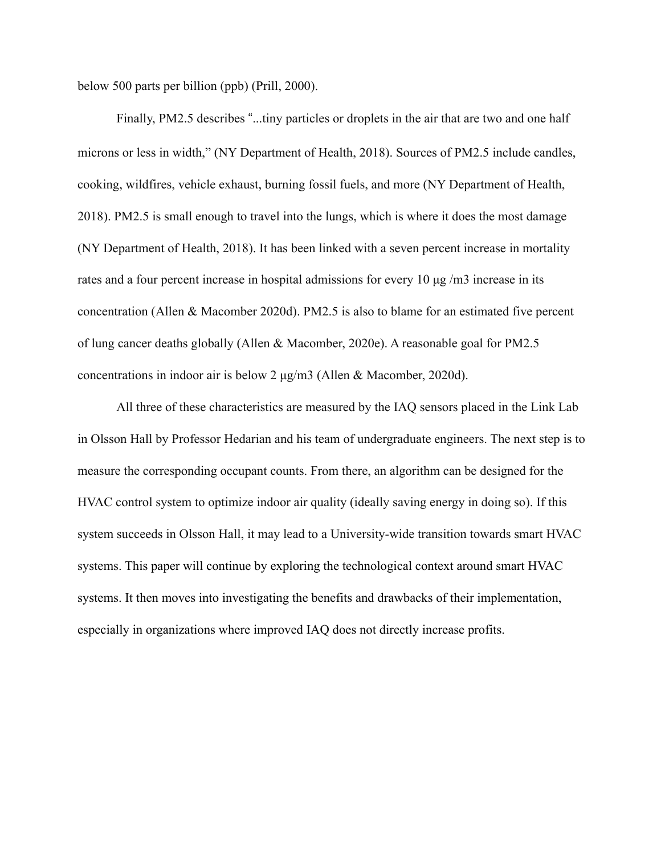below 500 parts per billion (ppb) (Prill, 2000).

Finally, PM2.5 describes "...tiny particles or droplets in the air that are two and one half microns or less in width," (NY Department of Health, 2018). Sources of PM2.5 include candles, cooking, wildfires, vehicle exhaust, burning fossil fuels, and more (NY Department of Health, 2018). PM2.5 is small enough to travel into the lungs, which is where it does the most damage (NY Department of Health, 2018). It has been linked with a seven percent increase in mortality rates and a four percent increase in hospital admissions for every 10 µg /m3 increase in its concentration (Allen & Macomber 2020d). PM2.5 is also to blame for an estimated five percent of lung cancer deaths globally (Allen & Macomber, 2020e). A reasonable goal for PM2.5 concentrations in indoor air is below 2 µg/m3 (Allen & Macomber, 2020d).

All three of these characteristics are measured by the IAQ sensors placed in the Link Lab in Olsson Hall by Professor Hedarian and his team of undergraduate engineers. The next step is to measure the corresponding occupant counts. From there, an algorithm can be designed for the HVAC control system to optimize indoor air quality (ideally saving energy in doing so). If this system succeeds in Olsson Hall, it may lead to a University-wide transition towards smart HVAC systems. This paper will continue by exploring the technological context around smart HVAC systems. It then moves into investigating the benefits and drawbacks of their implementation, especially in organizations where improved IAQ does not directly increase profits.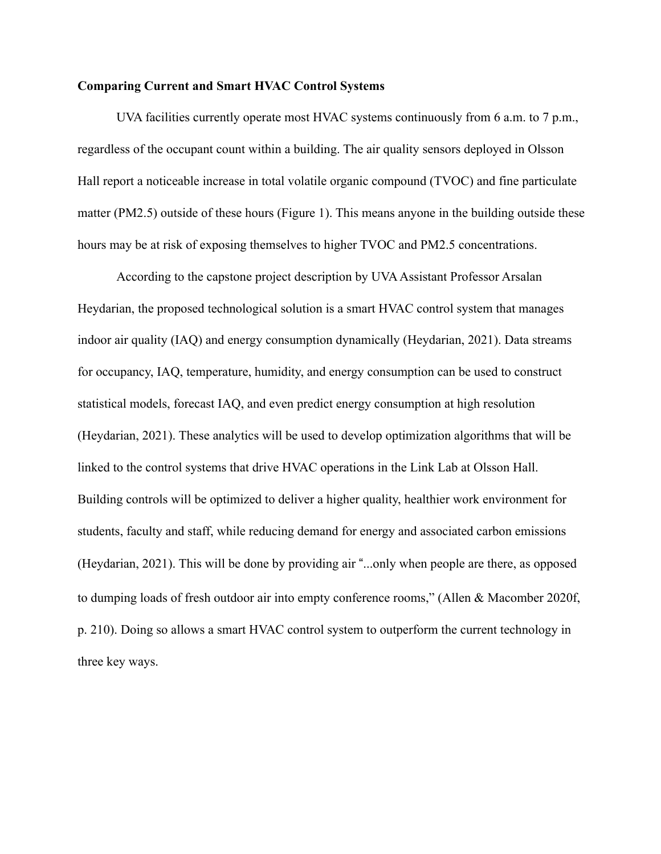#### **Comparing Current and Smart HVAC Control Systems**

UVA facilities currently operate most HVAC systems continuously from 6 a.m. to 7 p.m., regardless of the occupant count within a building. The air quality sensors deployed in Olsson Hall report a noticeable increase in total volatile organic compound (TVOC) and fine particulate matter (PM2.5) outside of these hours (Figure 1). This means anyone in the building outside these hours may be at risk of exposing themselves to higher TVOC and PM2.5 concentrations.

According to the capstone project description by UVA Assistant Professor Arsalan Heydarian, the proposed technological solution is a smart HVAC control system that manages indoor air quality (IAQ) and energy consumption dynamically (Heydarian, 2021). Data streams for occupancy, IAQ, temperature, humidity, and energy consumption can be used to construct statistical models, forecast IAQ, and even predict energy consumption at high resolution (Heydarian, 2021). These analytics will be used to develop optimization algorithms that will be linked to the control systems that drive HVAC operations in the Link Lab at Olsson Hall. Building controls will be optimized to deliver a higher quality, healthier work environment for students, faculty and staff, while reducing demand for energy and associated carbon emissions (Heydarian, 2021). This will be done by providing air "...only when people are there, as opposed to dumping loads of fresh outdoor air into empty conference rooms," (Allen & Macomber 2020f, p. 210). Doing so allows a smart HVAC control system to outperform the current technology in three key ways.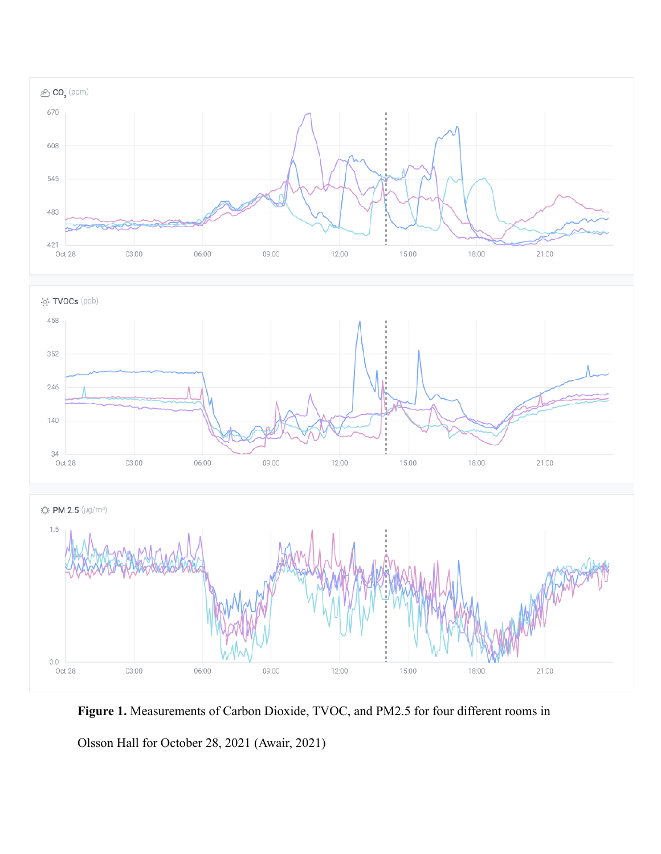

**Figure 1.** Measurements of Carbon Dioxide, TVOC, and PM2.5 for four different rooms in

Olsson Hall for October 28, 2021 (Awair, 2021)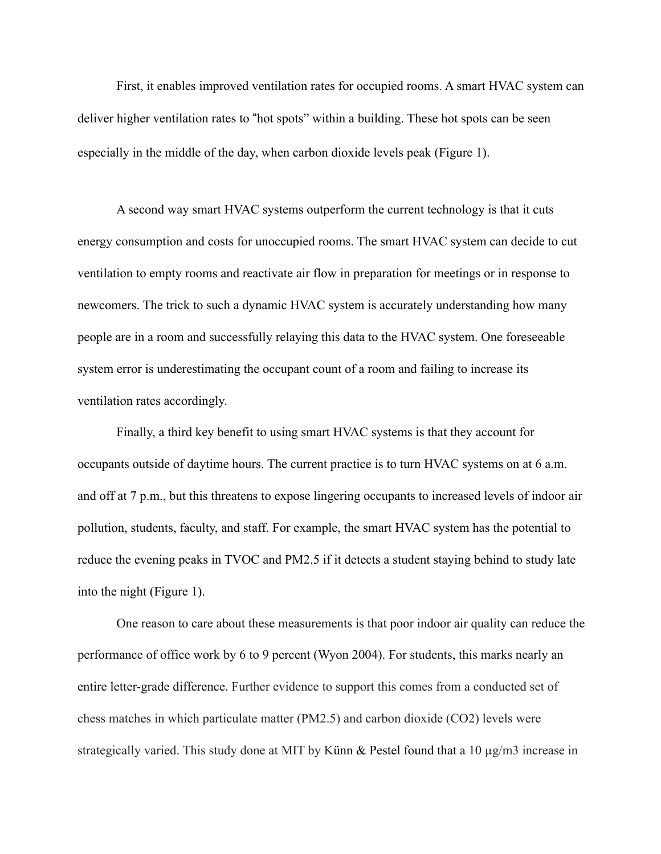First, it enables improved ventilation rates for occupied rooms. A smart HVAC system can deliver higher ventilation rates to "hot spots" within a building. These hot spots can be seen especially in the middle of the day, when carbon dioxide levels peak (Figure 1).

A second way smart HVAC systems outperform the current technology is that it cuts energy consumption and costs for unoccupied rooms. The smart HVAC system can decide to cut ventilation to empty rooms and reactivate air flow in preparation for meetings or in response to newcomers. The trick to such a dynamic HVAC system is accurately understanding how many people are in a room and successfully relaying this data to the HVAC system. One foreseeable system error is underestimating the occupant count of a room and failing to increase its ventilation rates accordingly.

Finally, a third key benefit to using smart HVAC systems is that they account for occupants outside of daytime hours. The current practice is to turn HVAC systems on at 6 a.m. and off at 7 p.m., but this threatens to expose lingering occupants to increased levels of indoor air pollution, students, faculty, and staff. For example, the smart HVAC system has the potential to reduce the evening peaks in TVOC and PM2.5 if it detects a student staying behind to study late into the night (Figure 1).

One reason to care about these measurements is that poor indoor air quality can reduce the performance of office work by 6 to 9 percent (Wyon 2004). For students, this marks nearly an entire letter-grade difference. Further evidence to support this comes from a conducted set of chess matches in which particulate matter (PM2.5) and carbon dioxide (CO2) levels were strategically varied. This study done at MIT by Künn & Pestel found that a 10 µg/m3 increase in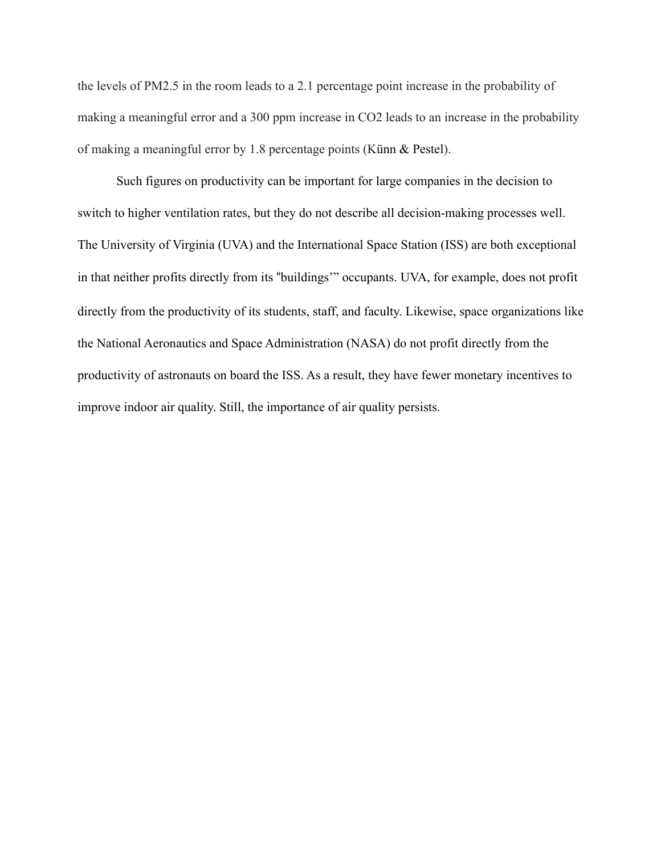the levels of PM2.5 in the room leads to a 2.1 percentage point increase in the probability of making a meaningful error and a 300 ppm increase in CO2 leads to an increase in the probability of making a meaningful error by 1.8 percentage points (Künn & Pestel).

Such figures on productivity can be important for large companies in the decision to switch to higher ventilation rates, but they do not describe all decision-making processes well. The University of Virginia (UVA) and the International Space Station (ISS) are both exceptional in that neither profits directly from its "buildings'" occupants. UVA, for example, does not profit directly from the productivity of its students, staff, and faculty. Likewise, space organizations like the National Aeronautics and Space Administration (NASA) do not profit directly from the productivity of astronauts on board the ISS. As a result, they have fewer monetary incentives to improve indoor air quality. Still, the importance of air quality persists.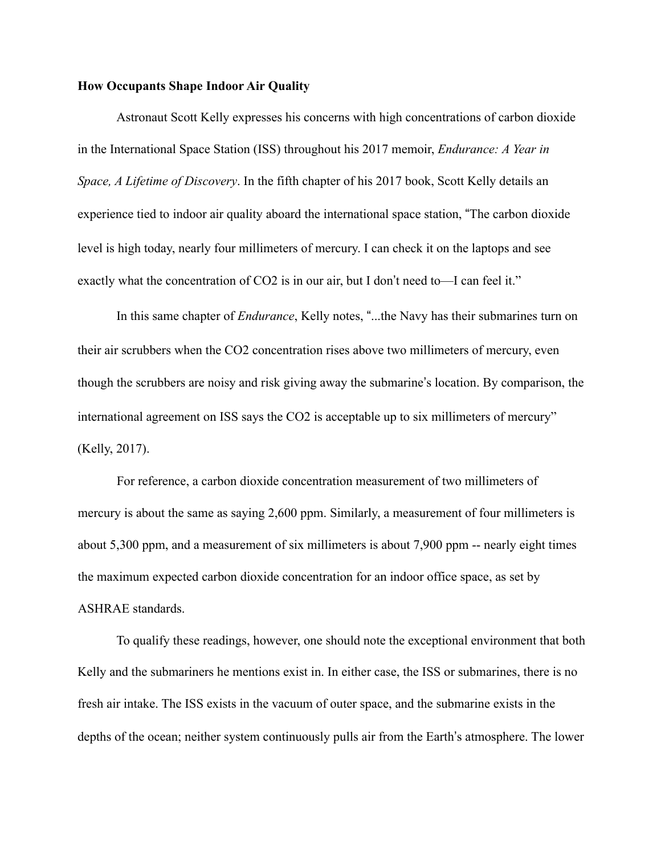## **How Occupants Shape Indoor Air Quality**

Astronaut Scott Kelly expresses his concerns with high concentrations of carbon dioxide in the International Space Station (ISS) throughout his 2017 memoir, *Endurance: A Year in Space, A Lifetime of Discovery*. In the fifth chapter of his 2017 book, Scott Kelly details an experience tied to indoor air quality aboard the international space station, "The carbon dioxide" level is high today, nearly four millimeters of mercury. I can check it on the laptops and see exactly what the concentration of  $CO2$  is in our air, but I don't need to—I can feel it."

In this same chapter of *Endurance*, Kelly notes, "...the Navy has their submarines turn on their air scrubbers when the CO2 concentration rises above two millimeters of mercury, even though the scrubbers are noisy and risk giving away the submarine's location. By comparison, the international agreement on ISS says the CO2 is acceptable up to six millimeters of mercury" (Kelly, 2017).

For reference, a carbon dioxide concentration measurement of two millimeters of mercury is about the same as saying 2,600 ppm. Similarly, a measurement of four millimeters is about 5,300 ppm, and a measurement of six millimeters is about 7,900 ppm -- nearly eight times the maximum expected carbon dioxide concentration for an indoor office space, as set by ASHRAE standards.

To qualify these readings, however, one should note the exceptional environment that both Kelly and the submariners he mentions exist in. In either case, the ISS or submarines, there is no fresh air intake. The ISS exists in the vacuum of outer space, and the submarine exists in the depths of the ocean; neither system continuously pulls air from the Earth's atmosphere. The lower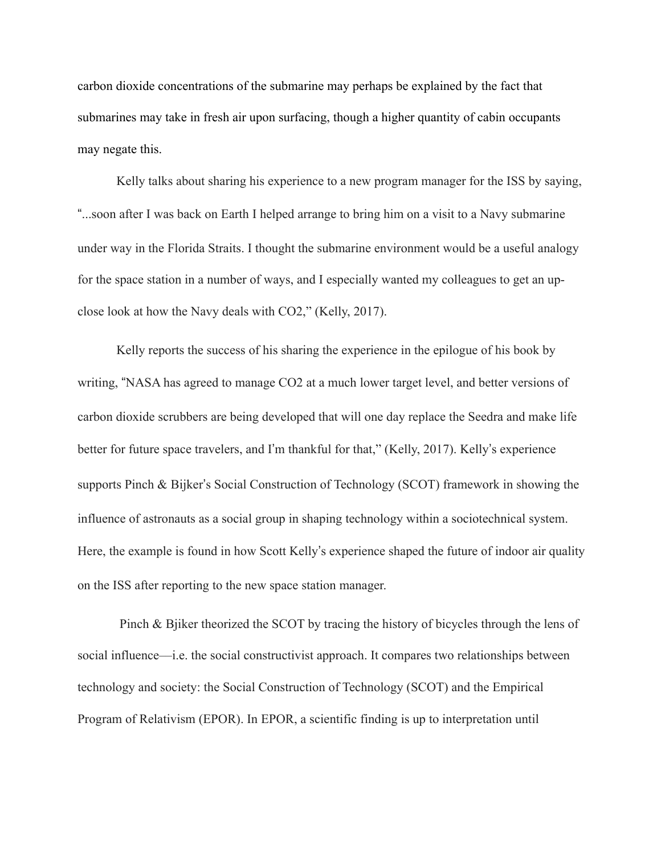carbon dioxide concentrations of the submarine may perhaps be explained by the fact that submarines may take in fresh air upon surfacing, though a higher quantity of cabin occupants may negate this.

Kelly talks about sharing his experience to a new program manager for the ISS by saying, !...soon after I was back on Earth I helped arrange to bring him on a visit to a Navy submarine under way in the Florida Straits. I thought the submarine environment would be a useful analogy for the space station in a number of ways, and I especially wanted my colleagues to get an upclose look at how the Navy deals with CO2," (Kelly, 2017).

Kelly reports the success of his sharing the experience in the epilogue of his book by writing, "NASA has agreed to manage CO2 at a much lower target level, and better versions of carbon dioxide scrubbers are being developed that will one day replace the Seedra and make life better for future space travelers, and I'm thankful for that," (Kelly, 2017). Kelly's experience supports Pinch  $& Bijker's Social Construction of Technology (SCOT) framework in showing the$ influence of astronauts as a social group in shaping technology within a sociotechnical system. Here, the example is found in how Scott Kelly's experience shaped the future of indoor air quality on the ISS after reporting to the new space station manager.

 Pinch & Bjiker theorized the SCOT by tracing the history of bicycles through the lens of social influence—i.e. the social constructivist approach. It compares two relationships between technology and society: the Social Construction of Technology (SCOT) and the Empirical Program of Relativism (EPOR). In EPOR, a scientific finding is up to interpretation until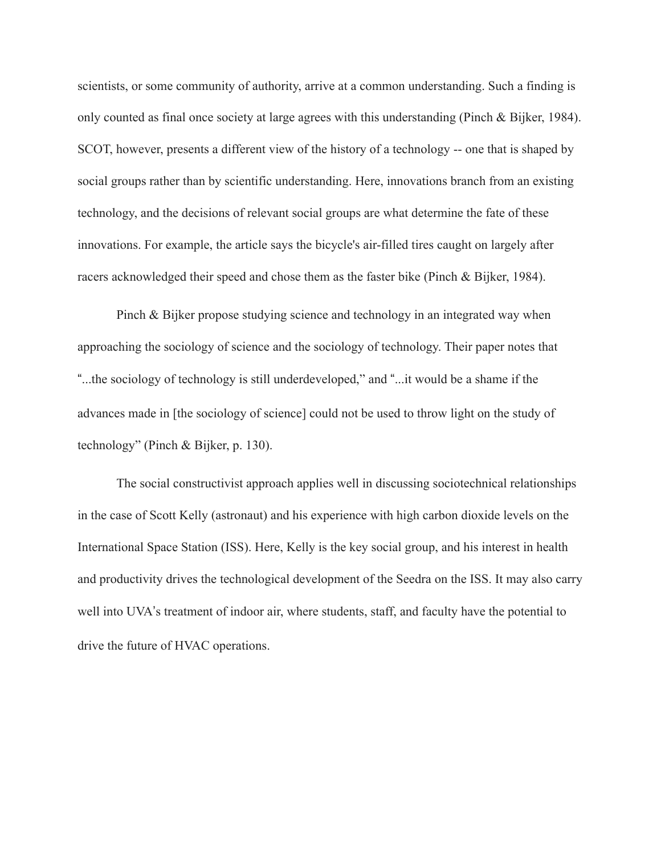scientists, or some community of authority, arrive at a common understanding. Such a finding is only counted as final once society at large agrees with this understanding (Pinch & Bijker, 1984). SCOT, however, presents a different view of the history of a technology -- one that is shaped by social groups rather than by scientific understanding. Here, innovations branch from an existing technology, and the decisions of relevant social groups are what determine the fate of these innovations. For example, the article says the bicycle's air-filled tires caught on largely after racers acknowledged their speed and chose them as the faster bike (Pinch & Bijker, 1984).

Pinch & Bijker propose studying science and technology in an integrated way when approaching the sociology of science and the sociology of technology. Their paper notes that !...the sociology of technology is still underdeveloped," and !...it would be a shame if the advances made in [the sociology of science] could not be used to throw light on the study of technology" (Pinch & Bijker, p. 130).

The social constructivist approach applies well in discussing sociotechnical relationships in the case of Scott Kelly (astronaut) and his experience with high carbon dioxide levels on the International Space Station (ISS). Here, Kelly is the key social group, and his interest in health and productivity drives the technological development of the Seedra on the ISS. It may also carry well into UVA's treatment of indoor air, where students, staff, and faculty have the potential to drive the future of HVAC operations.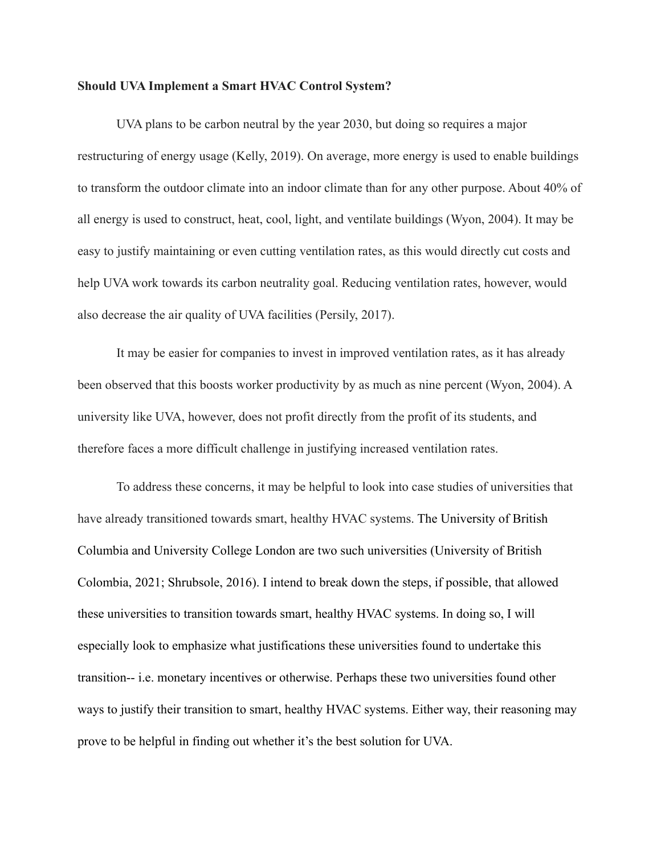#### **Should UVA Implement a Smart HVAC Control System?**

UVA plans to be carbon neutral by the year 2030, but doing so requires a major restructuring of energy usage (Kelly, 2019). On average, more energy is used to enable buildings to transform the outdoor climate into an indoor climate than for any other purpose. About 40% of all energy is used to construct, heat, cool, light, and ventilate buildings (Wyon, 2004). It may be easy to justify maintaining or even cutting ventilation rates, as this would directly cut costs and help UVA work towards its carbon neutrality goal. Reducing ventilation rates, however, would also decrease the air quality of UVA facilities (Persily, 2017).

It may be easier for companies to invest in improved ventilation rates, as it has already been observed that this boosts worker productivity by as much as nine percent (Wyon, 2004). A university like UVA, however, does not profit directly from the profit of its students, and therefore faces a more difficult challenge in justifying increased ventilation rates.

To address these concerns, it may be helpful to look into case studies of universities that have already transitioned towards smart, healthy HVAC systems. The University of British Columbia and University College London are two such universities (University of British Colombia, 2021; Shrubsole, 2016). I intend to break down the steps, if possible, that allowed these universities to transition towards smart, healthy HVAC systems. In doing so, I will especially look to emphasize what justifications these universities found to undertake this transition-- i.e. monetary incentives or otherwise. Perhaps these two universities found other ways to justify their transition to smart, healthy HVAC systems. Either way, their reasoning may prove to be helpful in finding out whether it's the best solution for UVA.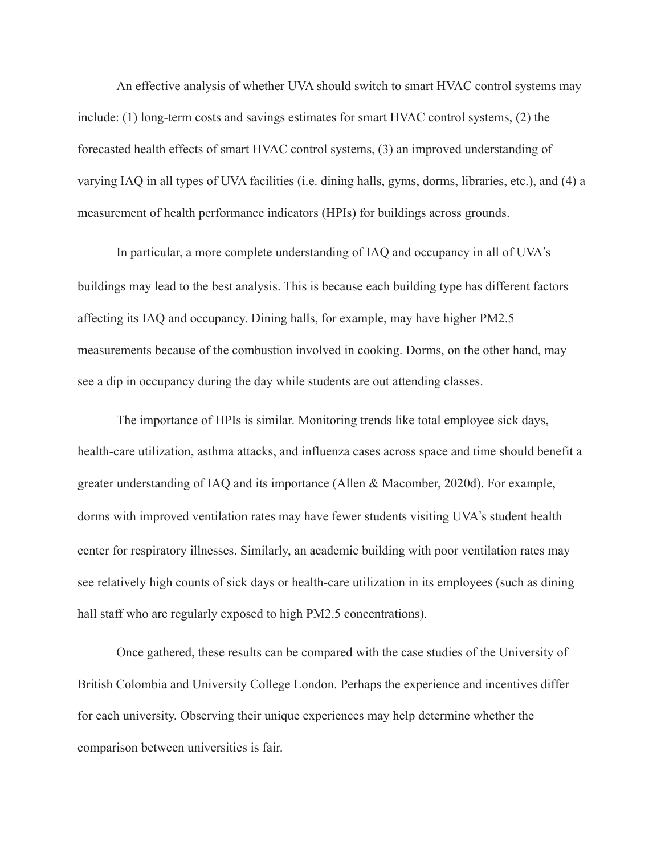An effective analysis of whether UVA should switch to smart HVAC control systems may include: (1) long-term costs and savings estimates for smart HVAC control systems, (2) the forecasted health effects of smart HVAC control systems, (3) an improved understanding of varying IAQ in all types of UVA facilities (i.e. dining halls, gyms, dorms, libraries, etc.), and (4) a measurement of health performance indicators (HPIs) for buildings across grounds.

In particular, a more complete understanding of IAQ and occupancy in all of UVA's buildings may lead to the best analysis. This is because each building type has different factors affecting its IAQ and occupancy. Dining halls, for example, may have higher PM2.5 measurements because of the combustion involved in cooking. Dorms, on the other hand, may see a dip in occupancy during the day while students are out attending classes.

The importance of HPIs is similar. Monitoring trends like total employee sick days, health-care utilization, asthma attacks, and influenza cases across space and time should benefit a greater understanding of IAQ and its importance (Allen & Macomber, 2020d). For example, dorms with improved ventilation rates may have fewer students visiting UVA's student health center for respiratory illnesses. Similarly, an academic building with poor ventilation rates may see relatively high counts of sick days or health-care utilization in its employees (such as dining hall staff who are regularly exposed to high PM2.5 concentrations).

Once gathered, these results can be compared with the case studies of the University of British Colombia and University College London. Perhaps the experience and incentives differ for each university. Observing their unique experiences may help determine whether the comparison between universities is fair.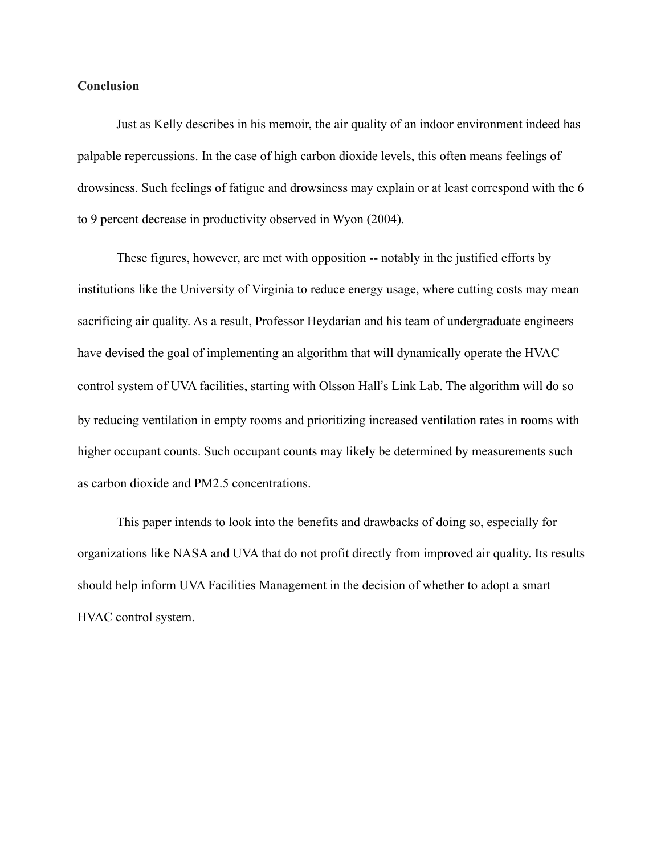## **Conclusion**

Just as Kelly describes in his memoir, the air quality of an indoor environment indeed has palpable repercussions. In the case of high carbon dioxide levels, this often means feelings of drowsiness. Such feelings of fatigue and drowsiness may explain or at least correspond with the 6 to 9 percent decrease in productivity observed in Wyon (2004).

These figures, however, are met with opposition -- notably in the justified efforts by institutions like the University of Virginia to reduce energy usage, where cutting costs may mean sacrificing air quality. As a result, Professor Heydarian and his team of undergraduate engineers have devised the goal of implementing an algorithm that will dynamically operate the HVAC control system of UVA facilities, starting with Olsson Hall's Link Lab. The algorithm will do so by reducing ventilation in empty rooms and prioritizing increased ventilation rates in rooms with higher occupant counts. Such occupant counts may likely be determined by measurements such as carbon dioxide and PM2.5 concentrations.

This paper intends to look into the benefits and drawbacks of doing so, especially for organizations like NASA and UVA that do not profit directly from improved air quality. Its results should help inform UVA Facilities Management in the decision of whether to adopt a smart HVAC control system.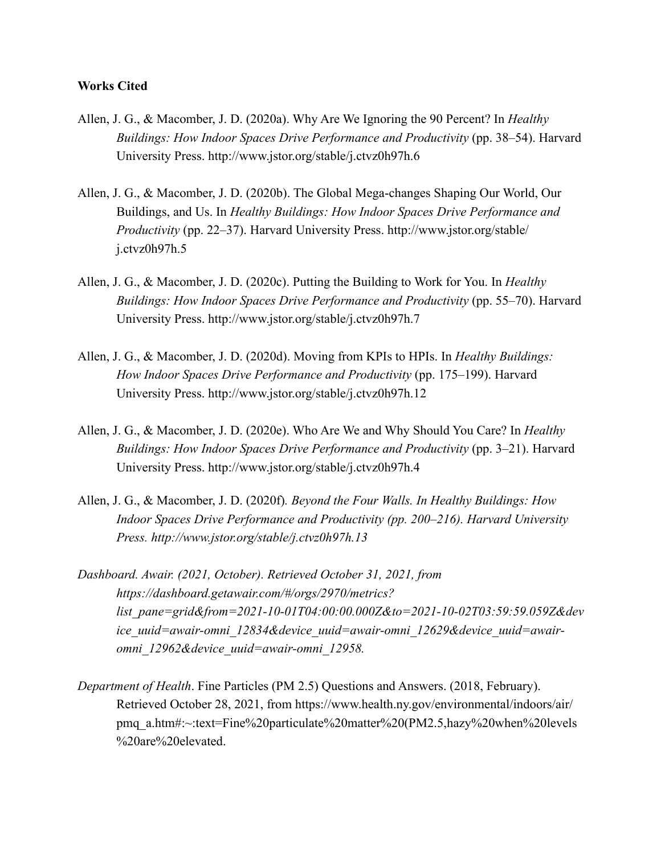## **Works Cited**

- Allen, J. G., & Macomber, J. D. (2020a). Why Are We Ignoring the 90 Percent? In *Healthy Buildings: How Indoor Spaces Drive Performance and Productivity* (pp. 38–54). Harvard University Press. http://www.jstor.org/stable/j.ctvz0h97h.6
- Allen, J. G., & Macomber, J. D. (2020b). The Global Mega-changes Shaping Our World, Our Buildings, and Us. In *Healthy Buildings: How Indoor Spaces Drive Performance and Productivity* (pp. 22–37). Harvard University Press. http://www.jstor.org/stable/ j.ctvz0h97h.5
- Allen, J. G., & Macomber, J. D. (2020c). Putting the Building to Work for You. In *Healthy Buildings: How Indoor Spaces Drive Performance and Productivity* (pp. 55–70). Harvard University Press. http://www.jstor.org/stable/j.ctvz0h97h.7
- Allen, J. G., & Macomber, J. D. (2020d). Moving from KPIs to HPIs. In *Healthy Buildings: How Indoor Spaces Drive Performance and Productivity* (pp. 175–199). Harvard University Press. http://www.jstor.org/stable/j.ctvz0h97h.12
- Allen, J. G., & Macomber, J. D. (2020e). Who Are We and Why Should You Care? In *Healthy Buildings: How Indoor Spaces Drive Performance and Productivity* (pp. 3–21). Harvard University Press. http://www.jstor.org/stable/j.ctvz0h97h.4
- Allen, J. G., & Macomber, J. D. (2020f)*. Beyond the Four Walls. In Healthy Buildings: How Indoor Spaces Drive Performance and Productivity (pp. 200–216). Harvard University Press. http://www.jstor.org/stable/j.ctvz0h97h.13*
- *Dashboard. Awair. (2021, October). Retrieved October 31, 2021, from https://dashboard.getawair.com/#/orgs/2970/metrics? list\_pane=grid&from=2021-10-01T04:00:00.000Z&to=2021-10-02T03:59:59.059Z&dev ice\_uuid=awair-omni\_12834&device\_uuid=awair-omni\_12629&device\_uuid=awairomni\_12962&device\_uuid=awair-omni\_12958.*
- *Department of Health*. Fine Particles (PM 2.5) Questions and Answers. (2018, February). Retrieved October 28, 2021, from https://www.health.ny.gov/environmental/indoors/air/ pmq\_a.htm#:~:text=Fine%20particulate%20matter%20(PM2.5,hazy%20when%20levels %20are%20elevated.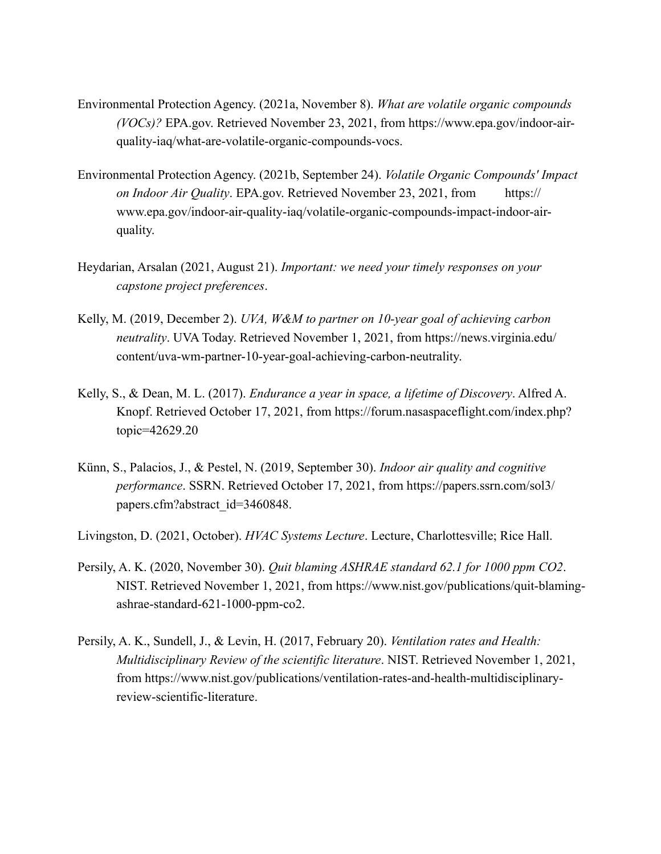- Environmental Protection Agency. (2021a, November 8). *What are volatile organic compounds (VOCs)?* EPA.gov. Retrieved November 23, 2021, from https://www.epa.gov/indoor-airquality-iaq/what-are-volatile-organic-compounds-vocs.
- Environmental Protection Agency. (2021b, September 24). *Volatile Organic Compounds' Impact on Indoor Air Quality*. EPA.gov. Retrieved November 23, 2021, from https:// www.epa.gov/indoor-air-quality-iaq/volatile-organic-compounds-impact-indoor-airquality.
- Heydarian, Arsalan (2021, August 21). *Important: we need your timely responses on your capstone project preferences*.
- Kelly, M. (2019, December 2). *UVA, W&M to partner on 10-year goal of achieving carbon neutrality*. UVA Today. Retrieved November 1, 2021, from https://news.virginia.edu/ content/uva-wm-partner-10-year-goal-achieving-carbon-neutrality.
- Kelly, S., & Dean, M. L. (2017). *Endurance a year in space, a lifetime of Discovery*. Alfred A. Knopf. Retrieved October 17, 2021, from https://forum.nasaspaceflight.com/index.php? topic=42629.20
- Künn, S., Palacios, J., & Pestel, N. (2019, September 30). *Indoor air quality and cognitive performance*. SSRN. Retrieved October 17, 2021, from https://papers.ssrn.com/sol3/ papers.cfm?abstract\_id=3460848.
- Livingston, D. (2021, October). *HVAC Systems Lecture*. Lecture, Charlottesville; Rice Hall.
- Persily, A. K. (2020, November 30). *Quit blaming ASHRAE standard 62.1 for 1000 ppm CO2*. NIST. Retrieved November 1, 2021, from https://www.nist.gov/publications/quit-blamingashrae-standard-621-1000-ppm-co2.
- Persily, A. K., Sundell, J., & Levin, H. (2017, February 20). *Ventilation rates and Health: Multidisciplinary Review of the scientific literature*. NIST. Retrieved November 1, 2021, from https://www.nist.gov/publications/ventilation-rates-and-health-multidisciplinaryreview-scientific-literature.